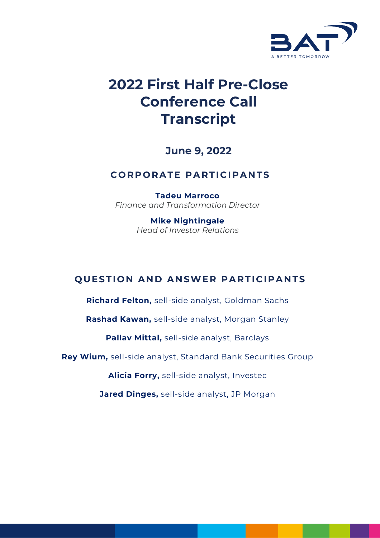

# **2022 First Half Pre-Close Conference Call Transcript**

**June 9, 2022**

# **CORPORATE PARTICIPANTS**

**Tadeu Marroco** *Finance and Transformation Director*

> **Mike Nightingale** *Head of Investor Relations*

# **QUESTION AND ANSWER PARTICIPANTS**

**Richard Felton,** sell-side analyst, Goldman Sachs

**Rashad Kawan,** sell-side analyst, Morgan Stanley

**Pallav Mittal,** sell-side analyst, Barclays

**Rey Wium,** sell-side analyst, Standard Bank Securities Group

**Alicia Forry,** sell-side analyst, Investec

**Jared Dinges,** sell-side analyst, JP Morgan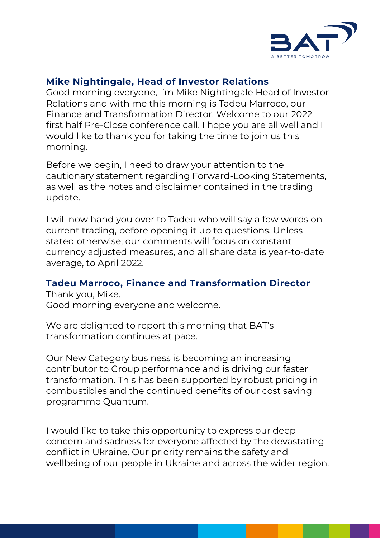

# **Mike Nightingale, Head of Investor Relations**

Good morning everyone, I'm Mike Nightingale Head of Investor Relations and with me this morning is Tadeu Marroco, our Finance and Transformation Director. Welcome to our 2022 first half Pre-Close conference call. I hope you are all well and I would like to thank you for taking the time to join us this morning.

Before we begin, I need to draw your attention to the cautionary statement regarding Forward-Looking Statements, as well as the notes and disclaimer contained in the trading update.

I will now hand you over to Tadeu who will say a few words on current trading, before opening it up to questions. Unless stated otherwise, our comments will focus on constant currency adjusted measures, and all share data is year-to-date average, to April 2022.

## **Tadeu Marroco, Finance and Transformation Director**

Thank you, Mike. Good morning everyone and welcome.

We are delighted to report this morning that BAT's transformation continues at pace.

Our New Category business is becoming an increasing contributor to Group performance and is driving our faster transformation. This has been supported by robust pricing in combustibles and the continued benefits of our cost saving programme Quantum.

I would like to take this opportunity to express our deep concern and sadness for everyone affected by the devastating conflict in Ukraine. Our priority remains the safety and wellbeing of our people in Ukraine and across the wider region.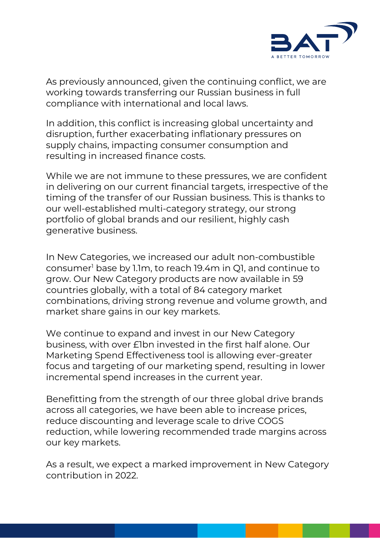

As previously announced, given the continuing conflict, we are working towards transferring our Russian business in full compliance with international and local laws.

In addition, this conflict is increasing global uncertainty and disruption, further exacerbating inflationary pressures on supply chains, impacting consumer consumption and resulting in increased finance costs.

While we are not immune to these pressures, we are confident in delivering on our current financial targets, irrespective of the timing of the transfer of our Russian business. This is thanks to our well-established multi-category strategy, our strong portfolio of global brands and our resilient, highly cash generative business.

In New Categories, we increased our adult non-combustible consumer<sup>1</sup> base by 1.1m, to reach 19.4m in Q1, and continue to grow. Our New Category products are now available in 59 countries globally, with a total of 84 category market combinations, driving strong revenue and volume growth, and market share gains in our key markets.

We continue to expand and invest in our New Category business, with over £1bn invested in the first half alone. Our Marketing Spend Effectiveness tool is allowing ever-greater focus and targeting of our marketing spend, resulting in lower incremental spend increases in the current year.

Benefitting from the strength of our three global drive brands across all categories, we have been able to increase prices, reduce discounting and leverage scale to drive COGS reduction, while lowering recommended trade margins across our key markets.

As a result, we expect a marked improvement in New Category contribution in 2022.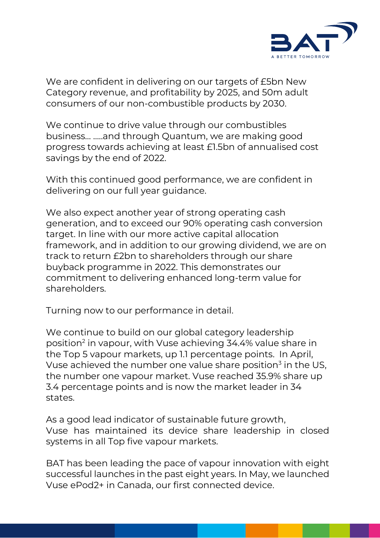

We are confident in delivering on our targets of £5bn New Category revenue, and profitability by 2025, and 50m adult consumers of our non-combustible products by 2030.

We continue to drive value through our combustibles business… …..and through Quantum, we are making good progress towards achieving at least £1.5bn of annualised cost savings by the end of 2022.

With this continued good performance, we are confident in delivering on our full year guidance.

We also expect another year of strong operating cash generation, and to exceed our 90% operating cash conversion target. In line with our more active capital allocation framework, and in addition to our growing dividend, we are on track to return £2bn to shareholders through our share buyback programme in 2022. This demonstrates our commitment to delivering enhanced long-term value for shareholders.

Turning now to our performance in detail.

We continue to build on our global category leadership position<sup>2</sup> in vapour, with Vuse achieving 34.4% value share in the Top 5 vapour markets, up 1.1 percentage points. In April, Vuse achieved the number one value share position<sup>3</sup> in the US, the number one vapour market. Vuse reached 35.9% share up 3.4 percentage points and is now the market leader in 34 states.

As a good lead indicator of sustainable future growth, Vuse has maintained its device share leadership in closed systems in all Top five vapour markets.

BAT has been leading the pace of vapour innovation with eight successful launches in the past eight years. In May, we launched Vuse ePod2+ in Canada, our first connected device.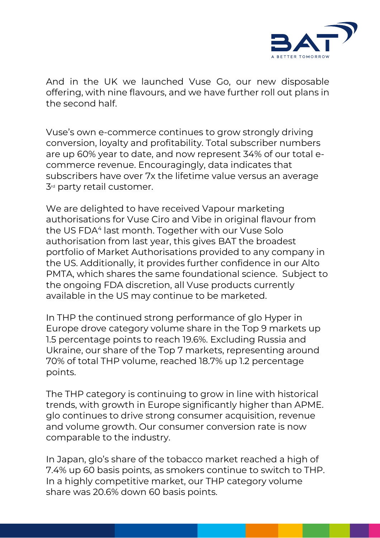

And in the UK we launched Vuse Go, our new disposable offering, with nine flavours, and we have further roll out plans in the second half.

Vuse's own e-commerce continues to grow strongly driving conversion, loyalty and profitability. Total subscriber numbers are up 60% year to date, and now represent 34% of our total ecommerce revenue. Encouragingly, data indicates that subscribers have over 7x the lifetime value versus an average  $3<sup>rd</sup>$  party retail customer.

We are delighted to have received Vapour marketing authorisations for Vuse Ciro and Vibe in original flavour from the US FDA<sup>4</sup> last month. Together with our Vuse Solo authorisation from last year, this gives BAT the broadest portfolio of Market Authorisations provided to any company in the US. Additionally, it provides further confidence in our Alto PMTA, which shares the same foundational science. Subject to the ongoing FDA discretion, all Vuse products currently available in the US may continue to be marketed.

In THP the continued strong performance of glo Hyper in Europe drove category volume share in the Top 9 markets up 1.5 percentage points to reach 19.6%. Excluding Russia and Ukraine, our share of the Top 7 markets, representing around 70% of total THP volume, reached 18.7% up 1.2 percentage points.

The THP category is continuing to grow in line with historical trends, with growth in Europe significantly higher than APME. glo continues to drive strong consumer acquisition, revenue and volume growth. Our consumer conversion rate is now comparable to the industry.

In Japan, glo's share of the tobacco market reached a high of 7.4% up 60 basis points, as smokers continue to switch to THP. In a highly competitive market, our THP category volume share was 20.6% down 60 basis points.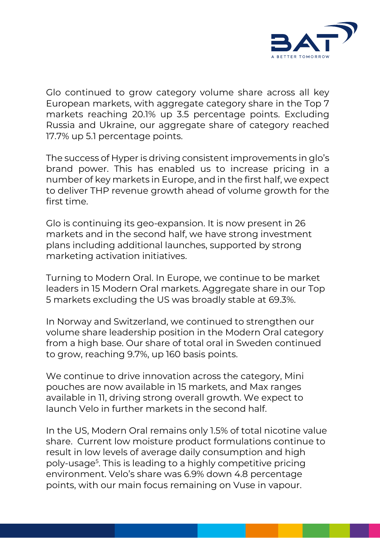

Glo continued to grow category volume share across all key European markets, with aggregate category share in the Top 7 markets reaching 20.1% up 3.5 percentage points. Excluding Russia and Ukraine, our aggregate share of category reached 17.7% up 5.1 percentage points.

The success of Hyper is driving consistent improvements in glo's brand power. This has enabled us to increase pricing in a number of key markets in Europe, and in the first half, we expect to deliver THP revenue growth ahead of volume growth for the first time.

Glo is continuing its geo-expansion. It is now present in 26 markets and in the second half, we have strong investment plans including additional launches, supported by strong marketing activation initiatives.

Turning to Modern Oral. In Europe, we continue to be market leaders in 15 Modern Oral markets. Aggregate share in our Top 5 markets excluding the US was broadly stable at 69.3%.

In Norway and Switzerland, we continued to strengthen our volume share leadership position in the Modern Oral category from a high base. Our share of total oral in Sweden continued to grow, reaching 9.7%, up 160 basis points.

We continue to drive innovation across the category, Mini pouches are now available in 15 markets, and Max ranges available in 11, driving strong overall growth. We expect to launch Velo in further markets in the second half.

In the US, Modern Oral remains only 1.5% of total nicotine value share. Current low moisture product formulations continue to result in low levels of average daily consumption and high poly-usage<sup>5</sup> . This is leading to a highly competitive pricing environment. Velo's share was 6.9% down 4.8 percentage points, with our main focus remaining on Vuse in vapour.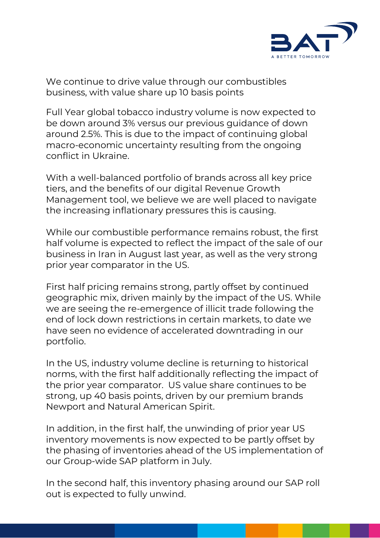

We continue to drive value through our combustibles business, with value share up 10 basis points

Full Year global tobacco industry volume is now expected to be down around 3% versus our previous guidance of down around 2.5%. This is due to the impact of continuing global macro-economic uncertainty resulting from the ongoing conflict in Ukraine.

With a well-balanced portfolio of brands across all key price tiers, and the benefits of our digital Revenue Growth Management tool, we believe we are well placed to navigate the increasing inflationary pressures this is causing.

While our combustible performance remains robust, the first half volume is expected to reflect the impact of the sale of our business in Iran in August last year, as well as the very strong prior year comparator in the US.

First half pricing remains strong, partly offset by continued geographic mix, driven mainly by the impact of the US. While we are seeing the re-emergence of illicit trade following the end of lock down restrictions in certain markets, to date we have seen no evidence of accelerated downtrading in our portfolio.

In the US, industry volume decline is returning to historical norms, with the first half additionally reflecting the impact of the prior year comparator. US value share continues to be strong, up 40 basis points, driven by our premium brands Newport and Natural American Spirit.

In addition, in the first half, the unwinding of prior year US inventory movements is now expected to be partly offset by the phasing of inventories ahead of the US implementation of our Group-wide SAP platform in July.

In the second half, this inventory phasing around our SAP roll out is expected to fully unwind.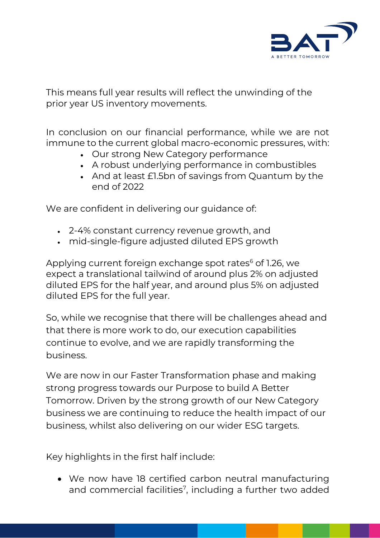

This means full year results will reflect the unwinding of the prior year US inventory movements.

In conclusion on our financial performance, while we are not immune to the current global macro-economic pressures, with:

- Our strong New Category performance
- A robust underlying performance in combustibles
- And at least £1.5bn of savings from Quantum by the end of 2022

We are confident in delivering our quidance of:

- 2-4% constant currency revenue growth, and
- mid-single-figure adjusted diluted EPS growth

Applying current foreign exchange spot rates<sup>6</sup> of 1.26, we expect a translational tailwind of around plus 2% on adjusted diluted EPS for the half year, and around plus 5% on adjusted diluted EPS for the full year.

So, while we recognise that there will be challenges ahead and that there is more work to do, our execution capabilities continue to evolve, and we are rapidly transforming the business.

We are now in our Faster Transformation phase and making strong progress towards our Purpose to build A Better Tomorrow. Driven by the strong growth of our New Category business we are continuing to reduce the health impact of our business, whilst also delivering on our wider ESG targets.

Key highlights in the first half include:

• We now have 18 certified carbon neutral manufacturing and commercial facilities<sup>7</sup>, including a further two added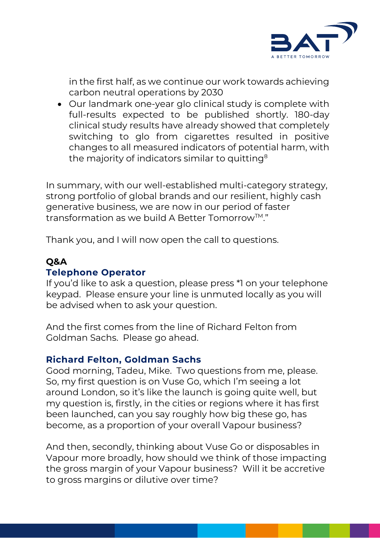

in the first half, as we continue our work towards achieving carbon neutral operations by 2030

• Our landmark one-year glo clinical study is complete with full-results expected to be published shortly. 180-day clinical study results have already showed that completely switching to glo from cigarettes resulted in positive changes to all measured indicators of potential harm, with the majority of indicators similar to quitting<sup>8</sup>

In summary, with our well-established multi-category strategy, strong portfolio of global brands and our resilient, highly cash generative business, we are now in our period of faster transformation as we build A Better Tomorrow<sup>TM</sup>."

Thank you, and I will now open the call to questions.

# **Q&A**

## **Telephone Operator**

If you'd like to ask a question, please press \*1 on your telephone keypad. Please ensure your line is unmuted locally as you will be advised when to ask your question.

And the first comes from the line of Richard Felton from Goldman Sachs. Please go ahead.

## **Richard Felton, Goldman Sachs**

Good morning, Tadeu, Mike. Two questions from me, please. So, my first question is on Vuse Go, which I'm seeing a lot around London, so it's like the launch is going quite well, but my question is, firstly, in the cities or regions where it has first been launched, can you say roughly how big these go, has become, as a proportion of your overall Vapour business?

And then, secondly, thinking about Vuse Go or disposables in Vapour more broadly, how should we think of those impacting the gross margin of your Vapour business? Will it be accretive to gross margins or dilutive over time?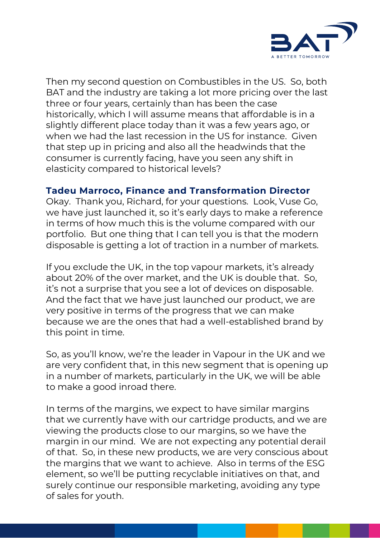

Then my second question on Combustibles in the US. So, both BAT and the industry are taking a lot more pricing over the last three or four years, certainly than has been the case historically, which I will assume means that affordable is in a slightly different place today than it was a few years ago, or when we had the last recession in the US for instance. Given that step up in pricing and also all the headwinds that the consumer is currently facing, have you seen any shift in elasticity compared to historical levels?

# **Tadeu Marroco, Finance and Transformation Director**

Okay. Thank you, Richard, for your questions. Look, Vuse Go, we have just launched it, so it's early days to make a reference in terms of how much this is the volume compared with our portfolio. But one thing that I can tell you is that the modern disposable is getting a lot of traction in a number of markets.

If you exclude the UK, in the top vapour markets, it's already about 20% of the over market, and the UK is double that. So, it's not a surprise that you see a lot of devices on disposable. And the fact that we have just launched our product, we are very positive in terms of the progress that we can make because we are the ones that had a well-established brand by this point in time.

So, as you'll know, we're the leader in Vapour in the UK and we are very confident that, in this new segment that is opening up in a number of markets, particularly in the UK, we will be able to make a good inroad there.

In terms of the margins, we expect to have similar margins that we currently have with our cartridge products, and we are viewing the products close to our margins, so we have the margin in our mind. We are not expecting any potential derail of that. So, in these new products, we are very conscious about the margins that we want to achieve. Also in terms of the ESG element, so we'll be putting recyclable initiatives on that, and surely continue our responsible marketing, avoiding any type of sales for youth.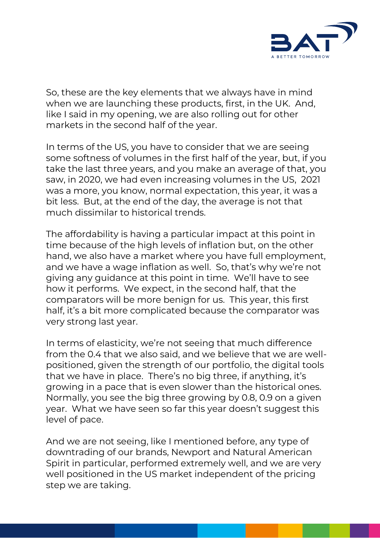

So, these are the key elements that we always have in mind when we are launching these products, first, in the UK. And, like I said in my opening, we are also rolling out for other markets in the second half of the year.

In terms of the US, you have to consider that we are seeing some softness of volumes in the first half of the year, but, if you take the last three years, and you make an average of that, you saw, in 2020, we had even increasing volumes in the US, 2021 was a more, you know, normal expectation, this year, it was a bit less. But, at the end of the day, the average is not that much dissimilar to historical trends.

The affordability is having a particular impact at this point in time because of the high levels of inflation but, on the other hand, we also have a market where you have full employment, and we have a wage inflation as well. So, that's why we're not giving any guidance at this point in time. We'll have to see how it performs. We expect, in the second half, that the comparators will be more benign for us. This year, this first half, it's a bit more complicated because the comparator was very strong last year.

In terms of elasticity, we're not seeing that much difference from the 0.4 that we also said, and we believe that we are wellpositioned, given the strength of our portfolio, the digital tools that we have in place. There's no big three, if anything, it's growing in a pace that is even slower than the historical ones. Normally, you see the big three growing by 0.8, 0.9 on a given year. What we have seen so far this year doesn't suggest this level of pace.

And we are not seeing, like I mentioned before, any type of downtrading of our brands, Newport and Natural American Spirit in particular, performed extremely well, and we are very well positioned in the US market independent of the pricing step we are taking.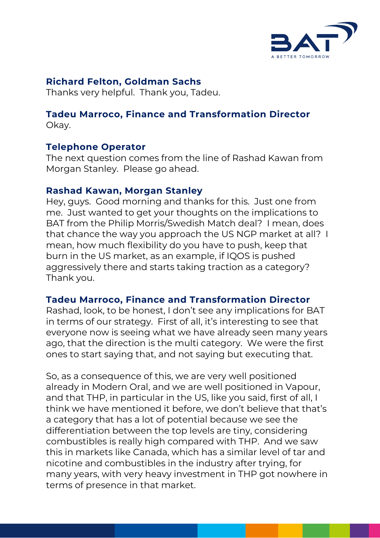

# **Richard Felton, Goldman Sachs**

Thanks very helpful. Thank you, Tadeu.

#### **Tadeu Marroco, Finance and Transformation Director**  Okay.

# **Telephone Operator**

The next question comes from the line of Rashad Kawan from Morgan Stanley. Please go ahead.

# **Rashad Kawan, Morgan Stanley**

Hey, guys. Good morning and thanks for this. Just one from me. Just wanted to get your thoughts on the implications to BAT from the Philip Morris/Swedish Match deal? I mean, does that chance the way you approach the US NGP market at all? I mean, how much flexibility do you have to push, keep that burn in the US market, as an example, if IQOS is pushed aggressively there and starts taking traction as a category? Thank you.

# **Tadeu Marroco, Finance and Transformation Director**

Rashad, look, to be honest, I don't see any implications for BAT in terms of our strategy. First of all, it's interesting to see that everyone now is seeing what we have already seen many years ago, that the direction is the multi category. We were the first ones to start saying that, and not saying but executing that.

So, as a consequence of this, we are very well positioned already in Modern Oral, and we are well positioned in Vapour, and that THP, in particular in the US, like you said, first of all, I think we have mentioned it before, we don't believe that that's a category that has a lot of potential because we see the differentiation between the top levels are tiny, considering combustibles is really high compared with THP. And we saw this in markets like Canada, which has a similar level of tar and nicotine and combustibles in the industry after trying, for many years, with very heavy investment in THP got nowhere in terms of presence in that market.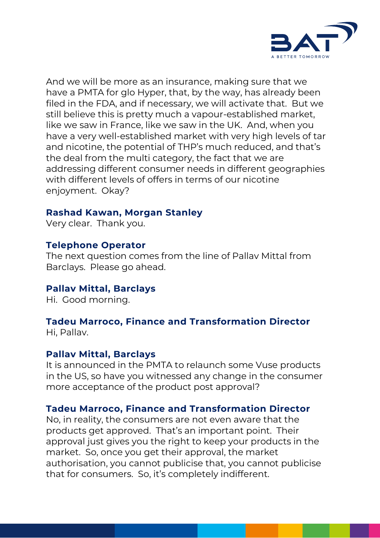

And we will be more as an insurance, making sure that we have a PMTA for glo Hyper, that, by the way, has already been filed in the FDA, and if necessary, we will activate that. But we still believe this is pretty much a vapour-established market, like we saw in France, like we saw in the UK. And, when you have a very well-established market with very high levels of tar and nicotine, the potential of THP's much reduced, and that's the deal from the multi category, the fact that we are addressing different consumer needs in different geographies with different levels of offers in terms of our nicotine enjoyment. Okay?

# **Rashad Kawan, Morgan Stanley**

Very clear. Thank you.

# **Telephone Operator**

The next question comes from the line of Pallav Mittal from Barclays. Please go ahead.

# **Pallav Mittal, Barclays**

Hi. Good morning.

# **Tadeu Marroco, Finance and Transformation Director**

Hi, Pallav.

# **Pallav Mittal, Barclays**

It is announced in the PMTA to relaunch some Vuse products in the US, so have you witnessed any change in the consumer more acceptance of the product post approval?

# **Tadeu Marroco, Finance and Transformation Director**

No, in reality, the consumers are not even aware that the products get approved. That's an important point. Their approval just gives you the right to keep your products in the market. So, once you get their approval, the market authorisation, you cannot publicise that, you cannot publicise that for consumers. So, it's completely indifferent.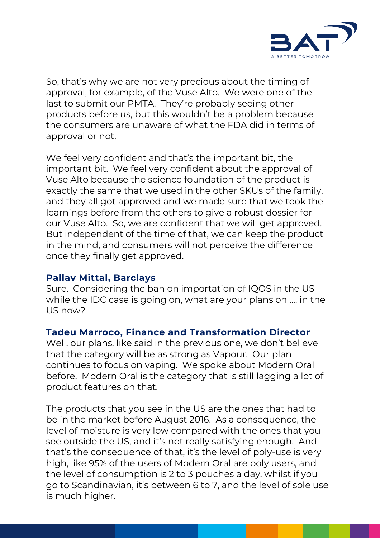

So, that's why we are not very precious about the timing of approval, for example, of the Vuse Alto. We were one of the last to submit our PMTA. They're probably seeing other products before us, but this wouldn't be a problem because the consumers are unaware of what the FDA did in terms of approval or not.

We feel very confident and that's the important bit, the important bit. We feel very confident about the approval of Vuse Alto because the science foundation of the product is exactly the same that we used in the other SKUs of the family, and they all got approved and we made sure that we took the learnings before from the others to give a robust dossier for our Vuse Alto. So, we are confident that we will get approved. But independent of the time of that, we can keep the product in the mind, and consumers will not perceive the difference once they finally get approved.

## **Pallav Mittal, Barclays**

Sure. Considering the ban on importation of IQOS in the US while the IDC case is going on, what are your plans on …. in the US now?

# **Tadeu Marroco, Finance and Transformation Director**

Well, our plans, like said in the previous one, we don't believe that the category will be as strong as Vapour. Our plan continues to focus on vaping. We spoke about Modern Oral before. Modern Oral is the category that is still lagging a lot of product features on that.

The products that you see in the US are the ones that had to be in the market before August 2016. As a consequence, the level of moisture is very low compared with the ones that you see outside the US, and it's not really satisfying enough. And that's the consequence of that, it's the level of poly-use is very high, like 95% of the users of Modern Oral are poly users, and the level of consumption is 2 to 3 pouches a day, whilst if you go to Scandinavian, it's between 6 to 7, and the level of sole use is much higher.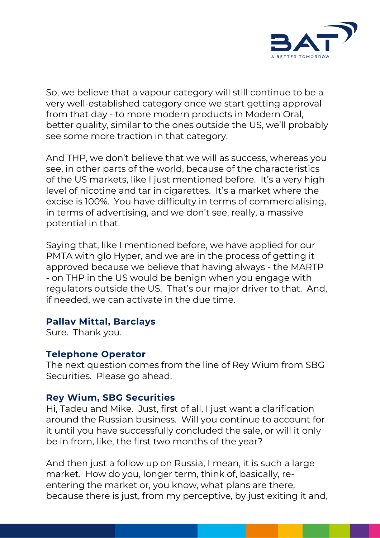

So, we believe that a vapour category will still continue to be a very well-established category once we start getting approval from that day - to more modern products in Modern Oral, better quality, similar to the ones outside the US, we'll probably see some more traction in that category.

And THP, we don't believe that we will as success, whereas you see, in other parts of the world, because of the characteristics of the US markets, like I just mentioned before. It's a very high level of nicotine and tar in cigarettes. It's a market where the excise is 100%. You have difficulty in terms of commercialising, in terms of advertising, and we don't see, really, a massive potential in that.

Saying that, like I mentioned before, we have applied for our PMTA with glo Hyper, and we are in the process of getting it approved because we believe that having always - the MARTP - on THP in the US would be benign when you engage with regulators outside the US. That's our major driver to that. And, if needed, we can activate in the due time.

## **Pallav Mittal, Barclays**

Sure. Thank you.

## **Telephone Operator**

The next question comes from the line of Rey Wium from SBG Securities. Please go ahead.

# **Rey Wium, SBG Securities**

Hi, Tadeu and Mike. Just, first of all, I just want a clarification around the Russian business. Will you continue to account for it until you have successfully concluded the sale, or will it only be in from, like, the first two months of the year?

And then just a follow up on Russia, I mean, it is such a large market. How do you, longer term, think of, basically, reentering the market or, you know, what plans are there, because there is just, from my perceptive, by just exiting it and,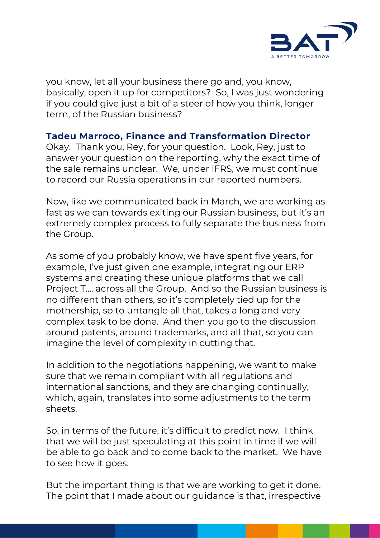

you know, let all your business there go and, you know, basically, open it up for competitors? So, I was just wondering if you could give just a bit of a steer of how you think, longer term, of the Russian business?

# **Tadeu Marroco, Finance and Transformation Director**

Okay. Thank you, Rey, for your question. Look, Rey, just to answer your question on the reporting, why the exact time of the sale remains unclear. We, under IFRS, we must continue to record our Russia operations in our reported numbers.

Now, like we communicated back in March, we are working as fast as we can towards exiting our Russian business, but it's an extremely complex process to fully separate the business from the Group.

As some of you probably know, we have spent five years, for example, I've just given one example, integrating our ERP systems and creating these unique platforms that we call Project T…. across all the Group. And so the Russian business is no different than others, so it's completely tied up for the mothership, so to untangle all that, takes a long and very complex task to be done. And then you go to the discussion around patents, around trademarks, and all that, so you can imagine the level of complexity in cutting that.

In addition to the negotiations happening, we want to make sure that we remain compliant with all regulations and international sanctions, and they are changing continually, which, again, translates into some adjustments to the term sheets.

So, in terms of the future, it's difficult to predict now. I think that we will be just speculating at this point in time if we will be able to go back and to come back to the market. We have to see how it goes.

But the important thing is that we are working to get it done. The point that I made about our guidance is that, irrespective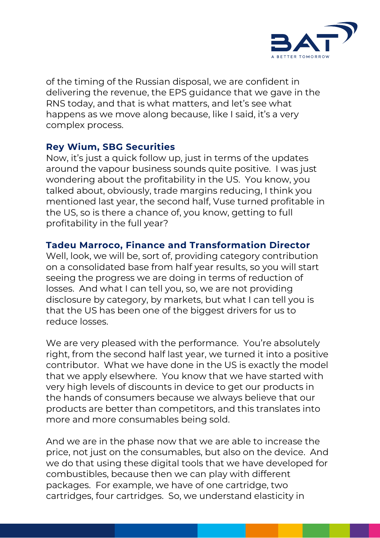

of the timing of the Russian disposal, we are confident in delivering the revenue, the EPS guidance that we gave in the RNS today, and that is what matters, and let's see what happens as we move along because, like I said, it's a very complex process.

# **Rey Wium, SBG Securities**

Now, it's just a quick follow up, just in terms of the updates around the vapour business sounds quite positive. I was just wondering about the profitability in the US. You know, you talked about, obviously, trade margins reducing, I think you mentioned last year, the second half, Vuse turned profitable in the US, so is there a chance of, you know, getting to full profitability in the full year?

# **Tadeu Marroco, Finance and Transformation Director**

Well, look, we will be, sort of, providing category contribution on a consolidated base from half year results, so you will start seeing the progress we are doing in terms of reduction of losses. And what I can tell you, so, we are not providing disclosure by category, by markets, but what I can tell you is that the US has been one of the biggest drivers for us to reduce losses.

We are very pleased with the performance. You're absolutely right, from the second half last year, we turned it into a positive contributor. What we have done in the US is exactly the model that we apply elsewhere. You know that we have started with very high levels of discounts in device to get our products in the hands of consumers because we always believe that our products are better than competitors, and this translates into more and more consumables being sold.

And we are in the phase now that we are able to increase the price, not just on the consumables, but also on the device. And we do that using these digital tools that we have developed for combustibles, because then we can play with different packages. For example, we have of one cartridge, two cartridges, four cartridges. So, we understand elasticity in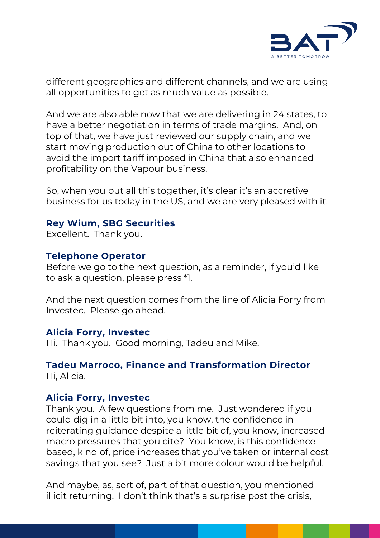

different geographies and different channels, and we are using all opportunities to get as much value as possible.

And we are also able now that we are delivering in 24 states, to have a better negotiation in terms of trade margins. And, on top of that, we have just reviewed our supply chain, and we start moving production out of China to other locations to avoid the import tariff imposed in China that also enhanced profitability on the Vapour business.

So, when you put all this together, it's clear it's an accretive business for us today in the US, and we are very pleased with it.

# **Rey Wium, SBG Securities**

Excellent. Thank you.

## **Telephone Operator**

Before we go to the next question, as a reminder, if you'd like to ask a question, please press \*1.

And the next question comes from the line of Alicia Forry from Investec. Please go ahead.

## **Alicia Forry, Investec**

Hi. Thank you. Good morning, Tadeu and Mike.

#### **Tadeu Marroco, Finance and Transformation Director**  Hi, Alicia.

## **Alicia Forry, Investec**

Thank you. A few questions from me. Just wondered if you could dig in a little bit into, you know, the confidence in reiterating guidance despite a little bit of, you know, increased macro pressures that you cite? You know, is this confidence based, kind of, price increases that you've taken or internal cost savings that you see? Just a bit more colour would be helpful.

And maybe, as, sort of, part of that question, you mentioned illicit returning. I don't think that's a surprise post the crisis,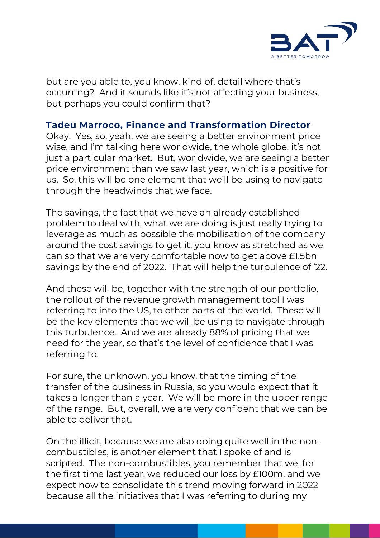

but are you able to, you know, kind of, detail where that's occurring? And it sounds like it's not affecting your business, but perhaps you could confirm that?

# **Tadeu Marroco, Finance and Transformation Director**

Okay. Yes, so, yeah, we are seeing a better environment price wise, and I'm talking here worldwide, the whole globe, it's not just a particular market. But, worldwide, we are seeing a better price environment than we saw last year, which is a positive for us. So, this will be one element that we'll be using to navigate through the headwinds that we face.

The savings, the fact that we have an already established problem to deal with, what we are doing is just really trying to leverage as much as possible the mobilisation of the company around the cost savings to get it, you know as stretched as we can so that we are very comfortable now to get above £1.5bn savings by the end of 2022. That will help the turbulence of '22.

And these will be, together with the strength of our portfolio, the rollout of the revenue growth management tool I was referring to into the US, to other parts of the world. These will be the key elements that we will be using to navigate through this turbulence. And we are already 88% of pricing that we need for the year, so that's the level of confidence that I was referring to.

For sure, the unknown, you know, that the timing of the transfer of the business in Russia, so you would expect that it takes a longer than a year. We will be more in the upper range of the range. But, overall, we are very confident that we can be able to deliver that.

On the illicit, because we are also doing quite well in the noncombustibles, is another element that I spoke of and is scripted. The non-combustibles, you remember that we, for the first time last year, we reduced our loss by £100m, and we expect now to consolidate this trend moving forward in 2022 because all the initiatives that I was referring to during my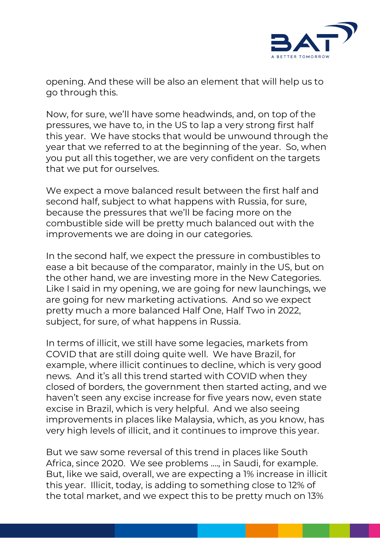

opening. And these will be also an element that will help us to go through this.

Now, for sure, we'll have some headwinds, and, on top of the pressures, we have to, in the US to lap a very strong first half this year. We have stocks that would be unwound through the year that we referred to at the beginning of the year. So, when you put all this together, we are very confident on the targets that we put for ourselves.

We expect a move balanced result between the first half and second half, subject to what happens with Russia, for sure, because the pressures that we'll be facing more on the combustible side will be pretty much balanced out with the improvements we are doing in our categories.

In the second half, we expect the pressure in combustibles to ease a bit because of the comparator, mainly in the US, but on the other hand, we are investing more in the New Categories. Like I said in my opening, we are going for new launchings, we are going for new marketing activations. And so we expect pretty much a more balanced Half One, Half Two in 2022, subject, for sure, of what happens in Russia.

In terms of illicit, we still have some legacies, markets from COVID that are still doing quite well. We have Brazil, for example, where illicit continues to decline, which is very good news. And it's all this trend started with COVID when they closed of borders, the government then started acting, and we haven't seen any excise increase for five years now, even state excise in Brazil, which is very helpful. And we also seeing improvements in places like Malaysia, which, as you know, has very high levels of illicit, and it continues to improve this year.

But we saw some reversal of this trend in places like South Africa, since 2020. We see problems …., in Saudi, for example. But, like we said, overall, we are expecting a 1% increase in illicit this year. Illicit, today, is adding to something close to 12% of the total market, and we expect this to be pretty much on 13%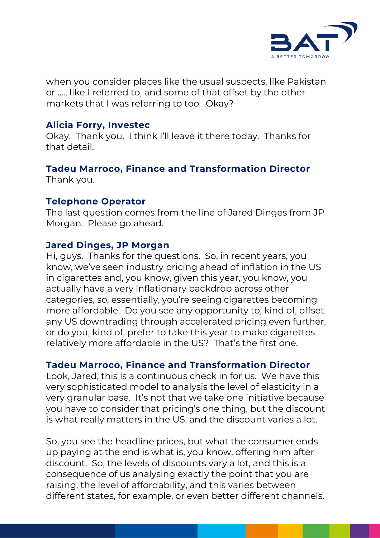

when you consider places like the usual suspects, like Pakistan or …., like I referred to, and some of that offset by the other markets that I was referring to too. Okay?

## **Alicia Forry, Investec**

Okay. Thank you. I think I'll leave it there today. Thanks for that detail.

#### **Tadeu Marroco, Finance and Transformation Director**  Thank you.

#### **Telephone Operator**

The last question comes from the line of Jared Dinges from JP Morgan. Please go ahead.

#### **Jared Dinges, JP Morgan**

Hi, guys. Thanks for the questions. So, in recent years, you know, we've seen industry pricing ahead of inflation in the US in cigarettes and, you know, given this year, you know, you actually have a very inflationary backdrop across other categories, so, essentially, you're seeing cigarettes becoming more affordable. Do you see any opportunity to, kind of, offset any US downtrading through accelerated pricing even further, or do you, kind of, prefer to take this year to make cigarettes relatively more affordable in the US? That's the first one.

## **Tadeu Marroco, Finance and Transformation Director**

Look, Jared, this is a continuous check in for us. We have this very sophisticated model to analysis the level of elasticity in a very granular base. It's not that we take one initiative because you have to consider that pricing's one thing, but the discount is what really matters in the US, and the discount varies a lot.

So, you see the headline prices, but what the consumer ends up paying at the end is what is, you know, offering him after discount. So, the levels of discounts vary a lot, and this is a consequence of us analysing exactly the point that you are raising, the level of affordability, and this varies between different states, for example, or even better different channels.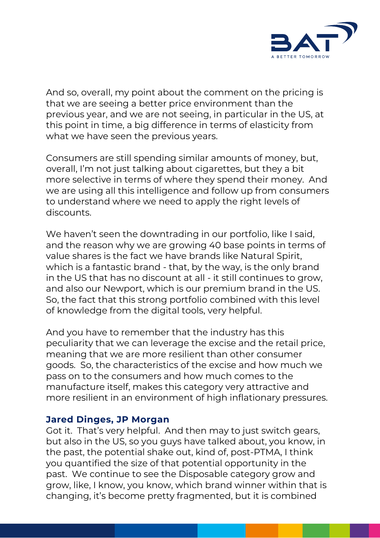

And so, overall, my point about the comment on the pricing is that we are seeing a better price environment than the previous year, and we are not seeing, in particular in the US, at this point in time, a big difference in terms of elasticity from what we have seen the previous years.

Consumers are still spending similar amounts of money, but, overall, I'm not just talking about cigarettes, but they a bit more selective in terms of where they spend their money. And we are using all this intelligence and follow up from consumers to understand where we need to apply the right levels of discounts.

We haven't seen the downtrading in our portfolio, like I said, and the reason why we are growing 40 base points in terms of value shares is the fact we have brands like Natural Spirit, which is a fantastic brand - that, by the way, is the only brand in the US that has no discount at all - it still continues to grow, and also our Newport, which is our premium brand in the US. So, the fact that this strong portfolio combined with this level of knowledge from the digital tools, very helpful.

And you have to remember that the industry has this peculiarity that we can leverage the excise and the retail price, meaning that we are more resilient than other consumer goods. So, the characteristics of the excise and how much we pass on to the consumers and how much comes to the manufacture itself, makes this category very attractive and more resilient in an environment of high inflationary pressures.

## **Jared Dinges, JP Morgan**

Got it. That's very helpful. And then may to just switch gears, but also in the US, so you guys have talked about, you know, in the past, the potential shake out, kind of, post-PTMA, I think you quantified the size of that potential opportunity in the past. We continue to see the Disposable category grow and grow, like, I know, you know, which brand winner within that is changing, it's become pretty fragmented, but it is combined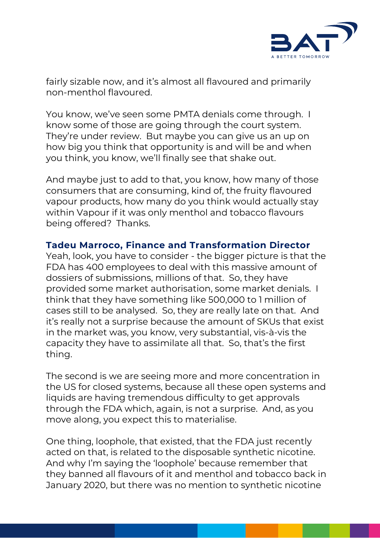

fairly sizable now, and it's almost all flavoured and primarily non-menthol flavoured.

You know, we've seen some PMTA denials come through. I know some of those are going through the court system. They're under review. But maybe you can give us an up on how big you think that opportunity is and will be and when you think, you know, we'll finally see that shake out.

And maybe just to add to that, you know, how many of those consumers that are consuming, kind of, the fruity flavoured vapour products, how many do you think would actually stay within Vapour if it was only menthol and tobacco flavours being offered? Thanks.

## **Tadeu Marroco, Finance and Transformation Director**

Yeah, look, you have to consider - the bigger picture is that the FDA has 400 employees to deal with this massive amount of dossiers of submissions, millions of that. So, they have provided some market authorisation, some market denials. I think that they have something like 500,000 to 1 million of cases still to be analysed. So, they are really late on that. And it's really not a surprise because the amount of SKUs that exist in the market was, you know, very substantial, vis-à-vis the capacity they have to assimilate all that. So, that's the first thing.

The second is we are seeing more and more concentration in the US for closed systems, because all these open systems and liquids are having tremendous difficulty to get approvals through the FDA which, again, is not a surprise. And, as you move along, you expect this to materialise.

One thing, loophole, that existed, that the FDA just recently acted on that, is related to the disposable synthetic nicotine. And why I'm saying the 'loophole' because remember that they banned all flavours of it and menthol and tobacco back in January 2020, but there was no mention to synthetic nicotine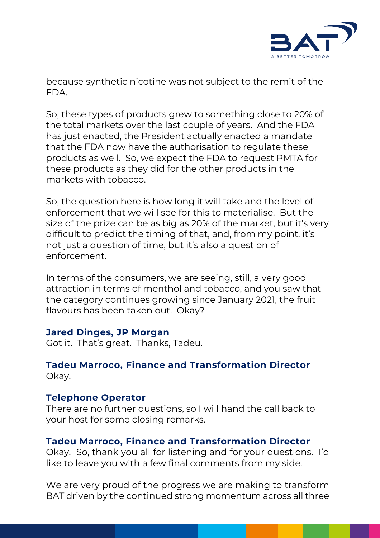

because synthetic nicotine was not subject to the remit of the FDA.

So, these types of products grew to something close to 20% of the total markets over the last couple of years. And the FDA has just enacted, the President actually enacted a mandate that the FDA now have the authorisation to regulate these products as well. So, we expect the FDA to request PMTA for these products as they did for the other products in the markets with tobacco.

So, the question here is how long it will take and the level of enforcement that we will see for this to materialise. But the size of the prize can be as big as 20% of the market, but it's very difficult to predict the timing of that, and, from my point, it's not just a question of time, but it's also a question of enforcement.

In terms of the consumers, we are seeing, still, a very good attraction in terms of menthol and tobacco, and you saw that the category continues growing since January 2021, the fruit flavours has been taken out. Okay?

## **Jared Dinges, JP Morgan**

Got it. That's great. Thanks, Tadeu.

# **Tadeu Marroco, Finance and Transformation Director** Okay.

# **Telephone Operator**

There are no further questions, so I will hand the call back to your host for some closing remarks.

# **Tadeu Marroco, Finance and Transformation Director**

Okay. So, thank you all for listening and for your questions. I'd like to leave you with a few final comments from my side.

We are very proud of the progress we are making to transform BAT driven by the continued strong momentum across all three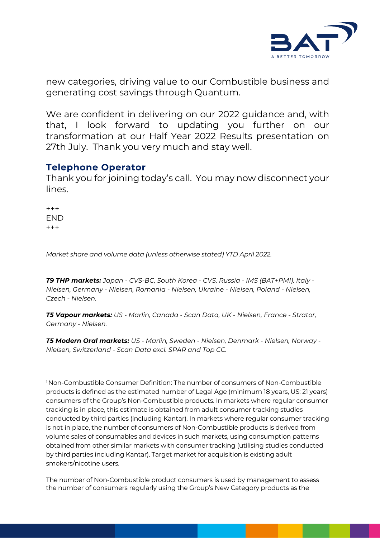

new categories, driving value to our Combustible business and generating cost savings through Quantum.

We are confident in delivering on our 2022 guidance and, with that, I look forward to updating you further on our transformation at our Half Year 2022 Results presentation on 27th July. Thank you very much and stay well.

#### **Telephone Operator**

Thank you for joining today's call. You may now disconnect your lines.

+++ END  $+++$ 

*Market share and volume data (unless otherwise stated) YTD April 2022.*

*T9 THP markets: Japan - CVS-BC, South Korea - CVS, Russia - IMS (BAT+PMI), Italy - Nielsen, Germany - Nielsen, Romania - Nielsen, Ukraine - Nielsen, Poland - Nielsen, Czech - Nielsen.*

*T5 Vapour markets: US - Marlin, Canada - Scan Data, UK - Nielsen, France - Strator, Germany - Nielsen.*

*T5 Modern Oral markets: US - Marlin, Sweden - Nielsen, Denmark - Nielsen, Norway - Nielsen, Switzerland - Scan Data excl. SPAR and Top CC.*

<sup>1</sup> Non-Combustible Consumer Definition: The number of consumers of Non-Combustible products is defined as the estimated number of Legal Age (minimum 18 years, US: 21 years) consumers of the Group's Non-Combustible products. In markets where regular consumer tracking is in place, this estimate is obtained from adult consumer tracking studies conducted by third parties (including Kantar). In markets where regular consumer tracking is not in place, the number of consumers of Non-Combustible products is derived from volume sales of consumables and devices in such markets, using consumption patterns obtained from other similar markets with consumer tracking (utilising studies conducted by third parties including Kantar). Target market for acquisition is existing adult smokers/nicotine users.

The number of Non-Combustible product consumers is used by management to assess the number of consumers regularly using the Group's New Category products as the